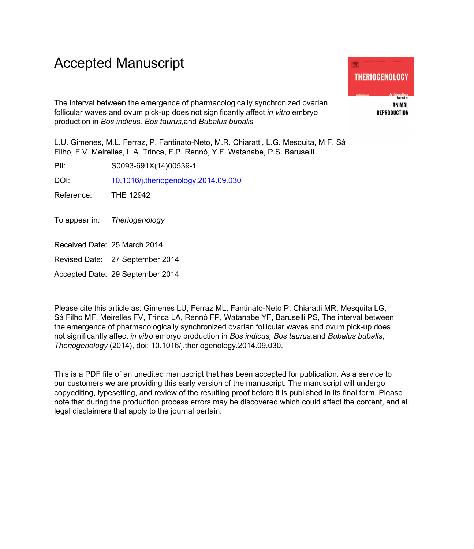# Accepted Manuscript

The interval between the emergence of pharmacologically synchronized ovarian follicular waves and ovum pick-up does not significantly affect *in vitro* embryo production in *Bos indicus, Bos taurus,*and *Bubalus bubalis*

L.U. Gimenes, M.L. Ferraz, P. Fantinato-Neto, M.R. Chiaratti, L.G. Mesquita, M.F. Sá Filho, F.V. Meirelles, L.A. Trinca, F.P. Rennó, Y.F. Watanabe, P.S. Baruselli

PII: S0093-691X(14)00539-1

DOI: [10.1016/j.theriogenology.2014.09.030](http://dx.doi.org/10.1016/j.theriogenology.2014.09.030)

Reference: THE 12942

To appear in: Theriogenology

- Received Date: 25 March 2014
- Revised Date: 27 September 2014

Accepted Date: 29 September 2014

Please cite this article as: Gimenes LU, Ferraz ML, Fantinato-Neto P, Chiaratti MR, Mesquita LG, Sá Filho MF, Meirelles FV, Trinca LA, Rennó FP, Watanabe YF, Baruselli PS, The interval between the emergence of pharmacologically synchronized ovarian follicular waves and ovum pick-up does not significantly affect *in vitro* embryo production in *Bos indicus, Bos taurus,*and *Bubalus bubalis*, *Theriogenology* (2014), doi: 10.1016/j.theriogenology.2014.09.030.

This is a PDF file of an unedited manuscript that has been accepted for publication. As a service to our customers we are providing this early version of the manuscript. The manuscript will undergo copyediting, typesetting, and review of the resulting proof before it is published in its final form. Please note that during the production process errors may be discovered which could affect the content, and all legal disclaimers that apply to the journal pertain.

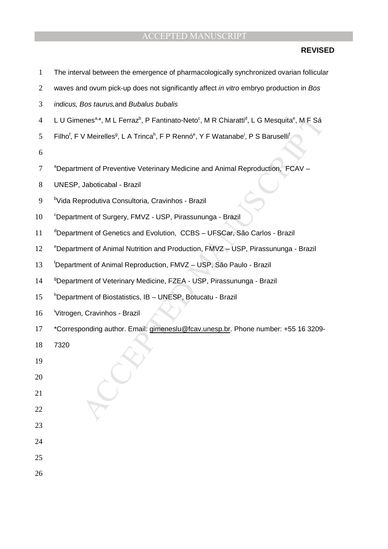## **REVISED**

enes<sup>\*\*</sup>, M. L. Ferraz<sup>b</sup>, P. Fantinato-Neto<sup>c</sup>, M. R. Chiaratti<sup>4</sup>, L. G. Mesquita<sup>8</sup>, M. F. Sá<br>
V. Meirelles<sup>2</sup>, L. A. Trinca<sup>h</sup>, F. P. Rennó<sup>6</sup>, Y. F. Watanabe<sup>1</sup>, P. S. Baruselli<sup>1</sup><br>
Mentrelles<sup>2</sup>, L. A. Trinca<sup>h</sup>, F. 1 The interval between the emergence of pharmacologically synchronized ovarian follicular 2 waves and ovum pick-up does not significantly affect *in vitro* embryo production in Bos 3 indicus, Bos taurus,and Bubalus bubalis 4 LU Gimenes<sup>a,\*</sup>, M L Ferraz<sup>b</sup>, P Fantinato-Neto<sup>c</sup>, M R Chiaratti<sup>d</sup>, L G Mesquita<sup>e</sup>, M F Sá Filho<sup>f</sup>, F V Meirelles<sup>g</sup>, L A Trinca<sup>h</sup>, F P Rennó<sup>e</sup>, Y F Watanabe<sup>i</sup>, P S Baruselli<sup>f</sup> 5 6 <sup>a</sup> Department of Preventive Veterinary Medicine and Animal Reproduction, FCAV -8 UNESP, Jaboticabal - Brazil 9 <sup>b</sup>Vida Reprodutiva Consultoria, Cravinhos - Brazil 10 <sup>c</sup>Department of Surgery, FMVZ - USP, Pirassununga - Brazil 11 <sup>d</sup>Department of Genetics and Evolution, CCBS - UFSCar, São Carlos - Brazil 12 <sup>e</sup>Department of Animal Nutrition and Production, FMVZ - USP, Pirassununga - Brazil 13 <sup>f</sup>Department of Animal Reproduction, FMVZ - USP, São Paulo - Brazil 14 <sup>9</sup>Department of Veterinary Medicine, FZEA - USP, Pirassununga - Brazil 15 bepartment of Biostatistics, IB - UNESP, Botucatu - Brazil 16 Vitrogen, Cravinhos - Brazil 17 \*Corresponding author. Email: gimeneslu@fcav.unesp.br. Phone number: +55 16 3209- 18 7320 19 20 21 22 23 24 25 26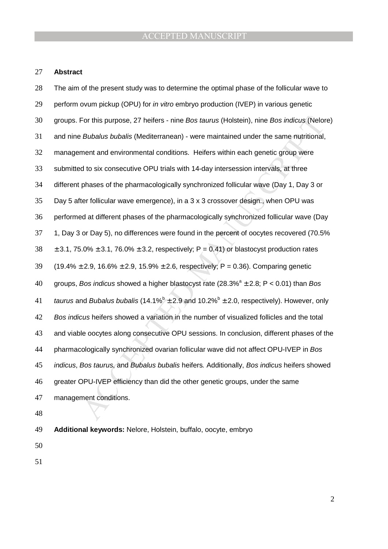#### **Abstract**

For this purpose, 27 heirers - nine *Bos taurus* (Holstein), nine *Bos indicus* (Nelon<br> *Bubalus bubalis* (Mediterranean) - were maintained under the same nutritional,<br>
ment and environmental conditions. Heifers within ea The aim of the present study was to determine the optimal phase of the follicular wave to 29 perform ovum pickup (OPU) for *in vitro* embryo production (IVEP) in various genetic groups. For this purpose, 27 heifers - nine Bos taurus (Holstein), nine Bos indicus (Nelore) and nine Bubalus bubalis (Mediterranean) - were maintained under the same nutritional, management and environmental conditions. Heifers within each genetic group were submitted to six consecutive OPU trials with 14-day intersession intervals, at three different phases of the pharmacologically synchronized follicular wave (Day 1, Day 3 or Day 5 after follicular wave emergence), in a 3 x 3 crossover design., when OPU was performed at different phases of the pharmacologically synchronized follicular wave (Day 1, Day 3 or Day 5), no differences were found in the percent of oocytes recovered (70.5%  $38 \pm 3.1$ , 75.0%  $\pm$  3.1, 76.0%  $\pm$  3.2, respectively; P = 0.41) or blastocyst production rates  $(19.4\% \pm 2.9, 16.6\% \pm 2.9, 15.9\% \pm 2.6, respectively; P = 0.36)$ . Comparing genetic 40 groups, Bos indicus showed a higher blastocyst rate  $(28.3\%^a \pm 2.8; P < 0.01)$  than Bos 41 taurus and Bubalus bubalis (14.1% $^{\circ}$  ± 2.9 and 10.2% $^{\circ}$  ± 2.0, respectively). However, only 42 Bos indicus heifers showed a variation in the number of visualized follicles and the total and viable oocytes along consecutive OPU sessions. In conclusion, different phases of the pharmacologically synchronized ovarian follicular wave did not affect OPU-IVEP in Bos *indicus, Bos taurus, and Bubalus bubalis heifers. Additionally, Bos indicus heifers showed* greater OPU-IVEP efficiency than did the other genetic groups, under the same management conditions.

**Additional keywords:** Nelore, Holstein, buffalo, oocyte, embryo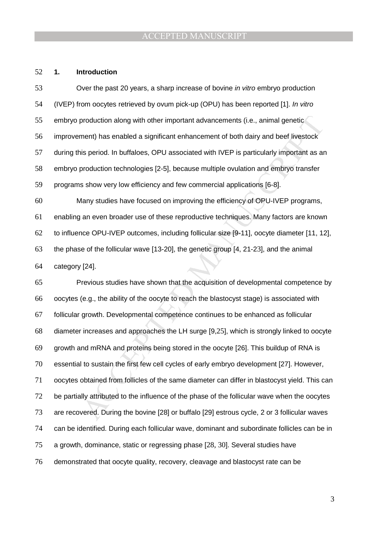#### **1. Introduction**

Over the past 20 years, a sharp increase of bovine in vitro embryo production (IVEP) from oocytes retrieved by ovum pick-up (OPU) has been reported [1]. In vitro embryo production along with other important advancements (i.e., animal genetic improvement) has enabled a significant enhancement of both dairy and beef livestock during this period. In buffaloes, OPU associated with IVEP is particularly important as an embryo production technologies [2-5], because multiple ovulation and embryo transfer programs show very low efficiency and few commercial applications [6-8]. Many studies have focused on improving the efficiency of OPU-IVEP programs,

enabling an even broader use of these reproductive techniques. Many factors are known to influence OPU-IVEP outcomes, including follicular size [9-11], oocyte diameter [11, 12], the phase of the follicular wave [13-20], the genetic group [4, 21-23], and the animal category [24].

or production along with other important advancements (i.e., animal genetic<br>ment) has enabled a significant enhancement of both dairy and beef livestock<br>is period. In buffaloes, OPU associated with IVEP is particularly imp Previous studies have shown that the acquisition of developmental competence by oocytes (e.g., the ability of the oocyte to reach the blastocyst stage) is associated with follicular growth. Developmental competence continues to be enhanced as follicular diameter increases and approaches the LH surge [9,25], which is strongly linked to oocyte growth and mRNA and proteins being stored in the oocyte [26]. This buildup of RNA is essential to sustain the first few cell cycles of early embryo development [27]. However, oocytes obtained from follicles of the same diameter can differ in blastocyst yield. This can be partially attributed to the influence of the phase of the follicular wave when the oocytes are recovered. During the bovine [28] or buffalo [29] estrous cycle, 2 or 3 follicular waves can be identified. During each follicular wave, dominant and subordinate follicles can be in a growth, dominance, static or regressing phase [28, 30]. Several studies have demonstrated that oocyte quality, recovery, cleavage and blastocyst rate can be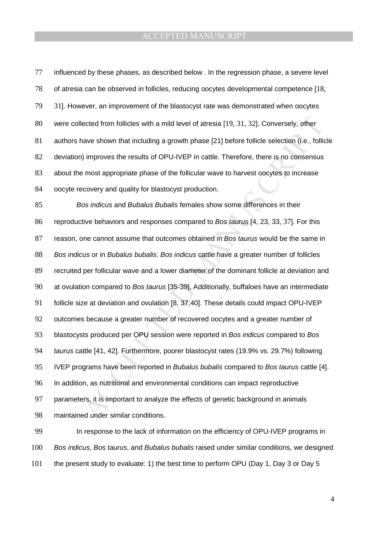lected from follicles with a mild level of atresia [19, 31, 32]. Conversely, other<br>nave shown that including a growth phase [21] before follicle selection (i.e., follic<br>i) improves the results of OPU-IVEP in cattle. Theref influenced by these phases, as described below . In the regression phase, a severe level of atresia can be observed in follicles, reducing oocytes developmental competence [18, 79 31]. However, an improvement of the blastocyst rate was demonstrated when oocytes were collected from follicles with a mild level of atresia [19, 31, 32]. Conversely, other authors have shown that including a growth phase [21] before follicle selection (i.e., follicle deviation) improves the results of OPU-IVEP in cattle. Therefore, there is no consensus about the most appropriate phase of the follicular wave to harvest oocytes to increase oocyte recovery and quality for blastocyst production. 85 Bos indicus and Bubalus Bubalis females show some differences in their reproductive behaviors and responses compared to Bos taurus [4, 23, 33, 37]. For this 87 reason, one cannot assume that outcomes obtained in Bos taurus would be the same in 88 Bos indicus or in Bubalus bubalis. Bos indicus cattle have a greater number of follicles recruited per follicular wave and a lower diameter of the dominant follicle at deviation and 90 at ovulation compared to Bos taurus [35-39]. Additionally, buffaloes have an intermediate follicle size at deviation and ovulation [8, 37,40]. These details could impact OPU-IVEP outcomes because a greater number of recovered oocytes and a greater number of 93 blastocysts produced per OPU session were reported in Bos indicus compared to Bos 94 taurus cattle [41, 42]. Furthermore, poorer blastocyst rates (19.9% vs. 29.7%) following 95 IVEP programs have been reported in Bubalus bubalis compared to Bos taurus cattle [4]. In addition, as nutritional and environmental conditions can impact reproductive parameters, it is important to analyze the effects of genetic background in animals maintained under similar conditions.

In response to the lack of information on the efficiency of OPU-IVEP programs in 100 Bos indicus, Bos taurus, and Bubalus bubalis raised under similar conditions, we designed the present study to evaluate: 1) the best time to perform OPU (Day 1, Day 3 or Day 5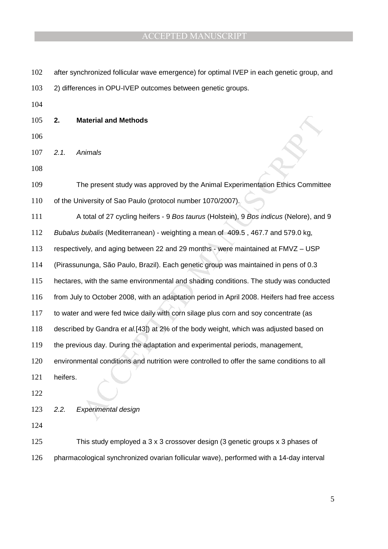Interial and Methods<br>
Inimals<br>
The present study was approved by the Animal Experimentation Ethics Committer<br>
inversity of Sao Paulo (protocol number 1070/2007).<br>
total of 27 cycling heifers - 9 *Bos taurus* (Holstein), 9 102 after synchronized follicular wave emergence) for optimal IVEP in each genetic group, and 2) differences in OPU-IVEP outcomes between genetic groups. **2. Material and Methods** 2.1. Animals The present study was approved by the Animal Experimentation Ethics Committee 110 of the University of Sao Paulo (protocol number 1070/2007). 111 A total of 27 cycling heifers - 9 Bos taurus (Holstein), 9 Bos indicus (Nelore), and 9 Bubalus bubalis (Mediterranean) - weighting a mean of 409.5 , 467.7 and 579.0 kg, respectively, and aging between 22 and 29 months - were maintained at FMVZ – USP (Pirassununga, São Paulo, Brazil). Each genetic group was maintained in pens of 0.3 hectares, with the same environmental and shading conditions. The study was conducted from July to October 2008, with an adaptation period in April 2008. Heifers had free access to water and were fed twice daily with corn silage plus corn and soy concentrate (as described by Gandra et al.[43]) at 2% of the body weight, which was adjusted based on the previous day. During the adaptation and experimental periods, management, environmental conditions and nutrition were controlled to offer the same conditions to all heifers. 2.2. Experimental design This study employed a 3 x 3 crossover design (3 genetic groups x 3 phases of pharmacological synchronized ovarian follicular wave), performed with a 14-day interval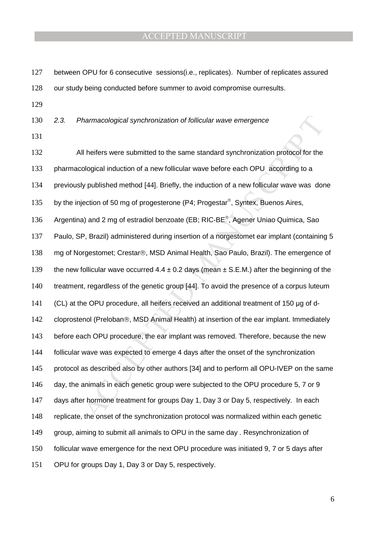| 127        | between OPU for 6 consecutive sessions(i.e., replicates). Number of replicates assured             |
|------------|----------------------------------------------------------------------------------------------------|
| 128        | our study being conducted before summer to avoid compromise ourresults.                            |
| 129        |                                                                                                    |
| 130<br>131 | 2.3.<br>Pharmacological synchronization of follicular wave emergence                               |
| 132        | All heifers were submitted to the same standard synchronization protocol for the                   |
| 133        | pharmacological induction of a new follicular wave before each OPU according to a                  |
| 134        | previously published method [44]. Briefly, the induction of a new follicular wave was done         |
| 135        | by the injection of 50 mg of progesterone (P4; Progestar <sup>®</sup> , Syntex, Buenos Aires,      |
| 136        | Argentina) and 2 mg of estradiol benzoate (EB; RIC-BE <sup>®</sup> , Agener Uniao Quimica, Sao     |
| 137        | Paulo, SP, Brazil) administered during insertion of a norgestomet ear implant (containing 5        |
| 138        | mg of Norgestomet; Crestar®, MSD Animal Health, Sao Paulo, Brazil). The emergence of               |
| 139        | the new follicular wave occurred $4.4 \pm 0.2$ days (mean $\pm$ S.E.M.) after the beginning of the |
| 140        | treatment, regardless of the genetic group [44]. To avoid the presence of a corpus luteum          |
| 141        | (CL) at the OPU procedure, all heifers received an additional treatment of 150 µg of d-            |
| 142        | cloprostenol (Preloban®, MSD Animal Health) at insertion of the ear implant. Immediately           |
| 143        | before each OPU procedure, the ear implant was removed. Therefore, because the new                 |
| 144        | follicular wave was expected to emerge 4 days after the onset of the synchronization               |
| 145        | protocol as described also by other authors [34] and to perform all OPU-IVEP on the same           |
| 146        | day, the animals in each genetic group were subjected to the OPU procedure 5, 7 or 9               |
| 147        | days after hormone treatment for groups Day 1, Day 3 or Day 5, respectively. In each               |
| 148        | replicate, the onset of the synchronization protocol was normalized within each genetic            |
| 149        | group, aiming to submit all animals to OPU in the same day . Resynchronization of                  |
| 150        | follicular wave emergence for the next OPU procedure was initiated 9, 7 or 5 days after            |
| 151        | OPU for groups Day 1, Day 3 or Day 5, respectively.                                                |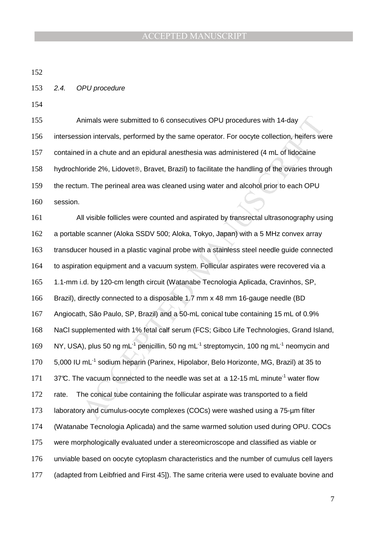- 2.4. OPU procedure
- 

Animals were submitted to 6 consecutives OPU procedures with 14-day intersession intervals, performed by the same operator. For oocyte collection, heifers were contained in a chute and an epidural anesthesia was administered (4 mL of lidocaine 158 hydrochloride 2%, Lidovet®, Bravet, Brazil) to facilitate the handling of the ovaries through 159 the rectum. The perineal area was cleaned using water and alcohol prior to each OPU session.

nimals were submitted to 6 consecutives OPU procedures with 14-day<br>sion intervals, performed by the same operator. For occyte collection, heifers we<br>d in a chute and an epidural anesthesia was administered (4 mL of lidocai All visible follicles were counted and aspirated by transrectal ultrasonography using a portable scanner (Aloka SSDV 500; Aloka, Tokyo, Japan) with a 5 MHz convex array transducer housed in a plastic vaginal probe with a stainless steel needle guide connected to aspiration equipment and a vacuum system. Follicular aspirates were recovered via a 1.1-mm i.d. by 120-cm length circuit (Watanabe Tecnologia Aplicada, Cravinhos, SP, Brazil), directly connected to a disposable 1.7 mm x 48 mm 16-gauge needle (BD Angiocath, São Paulo, SP, Brazil) and a 50-mL conical tube containing 15 mL of 0.9% NaCl supplemented with 1% fetal calf serum (FCS; Gibco Life Technologies, Grand Island, NY, USA), plus 50 ng mL<sup>-1</sup> penicillin, 50 ng mL<sup>-1</sup> streptomycin, 100 ng mL<sup>-1</sup> neomycin and 170 5,000 IU mL<sup>-1</sup> sodium heparin (Parinex, Hipolabor, Belo Horizonte, MG, Brazil) at 35 to 171 37°C. The vacuum connected to the needle was set at a 12-15 mL minute<sup>-1</sup> water flow rate. The conical tube containing the follicular aspirate was transported to a field laboratory and cumulus-oocyte complexes (COCs) were washed using a 75-µm filter (Watanabe Tecnologia Aplicada) and the same warmed solution used during OPU. COCs were morphologically evaluated under a stereomicroscope and classified as viable or unviable based on oocyte cytoplasm characteristics and the number of cumulus cell layers (adapted from Leibfried and First 45]). The same criteria were used to evaluate bovine and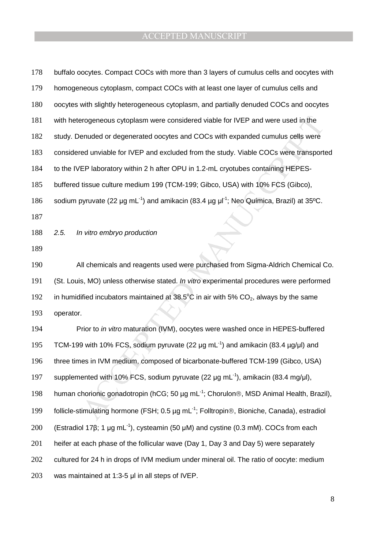| 178 | buffalo oocytes. Compact COCs with more than 3 layers of cumulus cells and oocytes with                          |
|-----|------------------------------------------------------------------------------------------------------------------|
| 179 | homogeneous cytoplasm, compact COCs with at least one layer of cumulus cells and                                 |
| 180 | oocytes with slightly heterogeneous cytoplasm, and partially denuded COCs and oocytes                            |
| 181 | with heterogeneous cytoplasm were considered viable for IVEP and were used in the                                |
| 182 | study. Denuded or degenerated oocytes and COCs with expanded cumulus cells were                                  |
| 183 | considered unviable for IVEP and excluded from the study. Viable COCs were transported                           |
| 184 | to the IVEP laboratory within 2 h after OPU in 1.2-mL cryotubes containing HEPES-                                |
| 185 | buffered tissue culture medium 199 (TCM-199; Gibco, USA) with 10% FCS (Gibco),                                   |
| 186 | sodium pyruvate (22 µg mL <sup>-1</sup> ) and amikacin (83.4 µg µl <sup>-1</sup> ; Neo Química, Brazil) at 35°C. |
| 187 |                                                                                                                  |
| 188 | In vitro embryo production<br>2.5.                                                                               |
| 189 |                                                                                                                  |
| 190 | All chemicals and reagents used were purchased from Sigma-Aldrich Chemical Co.                                   |
| 191 | (St. Louis, MO) unless otherwise stated. In vitro experimental procedures were performed                         |
| 192 | in humidified incubators maintained at 38.5 $\degree$ C in air with 5% CO <sub>2</sub> , always by the same      |
| 193 | operator.                                                                                                        |
| 194 | Prior to in vitro maturation (IVM), oocytes were washed once in HEPES-buffered                                   |
| 195 | TCM-199 with 10% FCS, sodium pyruvate (22 $\mu$ g mL <sup>-1</sup> ) and amikacin (83.4 $\mu$ g/ $\mu$ l) and    |
| 196 | three times in IVM medium, composed of bicarbonate-buffered TCM-199 (Gibco, USA)                                 |
| 197 | supplemented with 10% FCS, sodium pyruvate (22 $\mu$ g mL <sup>-1</sup> ), amikacin (83.4 mg/ $\mu$ l),          |
| 198 | human chorionic gonadotropin (hCG; 50 µg mL <sup>-1</sup> ; Chorulon <sup>®</sup> , MSD Animal Health, Brazil),  |
| 199 | follicle-stimulating hormone (FSH; 0.5 µg mL <sup>-1</sup> ; Folltropin®, Bioniche, Canada), estradiol           |
| 200 | (Estradiol 17 $\beta$ ; 1 µg mL <sup>-1</sup> ), cysteamin (50 µM) and cystine (0.3 mM). COCs from each          |
| 201 | heifer at each phase of the follicular wave (Day 1, Day 3 and Day 5) were separately                             |
| 202 | cultured for 24 h in drops of IVM medium under mineral oil. The ratio of oocyte: medium                          |
| 203 | was maintained at 1:3-5 µl in all steps of IVEP.                                                                 |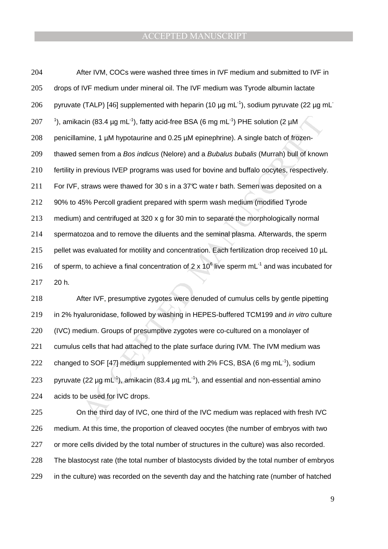icin (83.4 µg mL<sup>-1</sup>), fatty acid-free BSA (6 mg mL<sup>-1</sup>) PHE solution (2 µM<br>mine, 1 µM hypotaurine and 0.25 µM epinephrine). A single batch of frozen-<br>semen from a *Bos indicus* (Nelore) and a *Bubalus bubalis* (Murrah) b 204 After IVM, COCs were washed three times in IVF medium and submitted to IVF in 205 drops of IVF medium under mineral oil. The IVF medium was Tyrode albumin lactate pyruvate (TALP) [46] supplemented with heparin (10  $\mu$ g mL<sup>-1</sup>), sodium pyruvate (22  $\mu$ g mL<sup>-</sup> 206 207 <sup>1</sup>), amikacin (83.4 µg mL<sup>-1</sup>), fatty acid-free BSA (6 mg mL<sup>-1</sup>) PHE solution (2 µM 208 penicillamine, 1 µM hypotaurine and 0.25 µM epinephrine). A single batch of frozen-209 thawed semen from a Bos indicus (Nelore) and a Bubalus bubalis (Murrah) bull of known 210 fertility in previous IVEP programs was used for bovine and buffalo oocytes, respectively. 211 For IVF, straws were thawed for 30 s in a 37°C wate r bath. Semen was deposited on a 212 90% to 45% Percoll gradient prepared with sperm wash medium (modified Tyrode 213 medium) and centrifuged at 320 x g for 30 min to separate the morphologically normal 214 spermatozoa and to remove the diluents and the seminal plasma. Afterwards, the sperm 215 pellet was evaluated for motility and concentration. Each fertilization drop received 10 µL 216 of sperm, to achieve a final concentration of 2 x 10<sup>6</sup> live sperm mL<sup>-1</sup> and was incubated for 217 20 h.

218 After IVF, presumptive zygotes were denuded of cumulus cells by gentle pipetting 219 in 2% hyaluronidase, followed by washing in HEPES-buffered TCM199 and in vitro culture 220 (IVC) medium. Groups of presumptive zygotes were co-cultured on a monolayer of 221 cumulus cells that had attached to the plate surface during IVM. The IVM medium was 222 changed to SOF [47] medium supplemented with 2% FCS, BSA (6 mg mL<sup>-1</sup>), sodium 223 pyruvate (22  $\mu$ g mL<sup>-1</sup>), amikacin (83.4  $\mu$ g mL<sup>-1</sup>), and essential and non-essential amino 224 acids to be used for IVC drops.

On the third day of IVC, one third of the IVC medium was replaced with fresh IVC medium. At this time, the proportion of cleaved oocytes (the number of embryos with two or more cells divided by the total number of structures in the culture) was also recorded. The blastocyst rate (the total number of blastocysts divided by the total number of embryos in the culture) was recorded on the seventh day and the hatching rate (number of hatched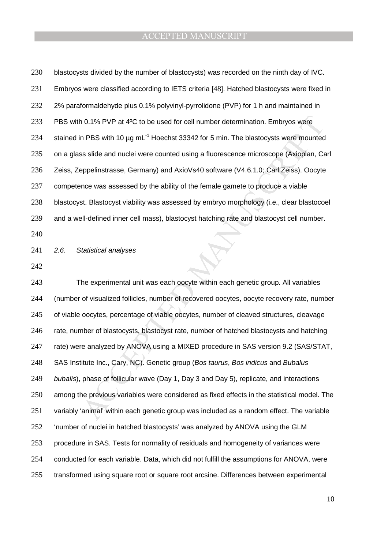| 230 | blastocysts divided by the number of blastocysts) was recorded on the ninth day of IVC.               |
|-----|-------------------------------------------------------------------------------------------------------|
| 231 | Embryos were classified according to IETS criteria [48]. Hatched blastocysts were fixed in            |
| 232 | 2% paraformaldehyde plus 0.1% polyvinyl-pyrrolidone (PVP) for 1 h and maintained in                   |
| 233 | PBS with 0.1% PVP at 4°C to be used for cell number determination. Embryos were                       |
| 234 | stained in PBS with 10 $\mu$ g mL <sup>-1</sup> Hoechst 33342 for 5 min. The blastocysts were mounted |
| 235 | on a glass slide and nuclei were counted using a fluorescence microscope (Axioplan, Carl              |
| 236 | Zeiss, Zeppelinstrasse, Germany) and AxioVs40 software (V4.6.1.0; Carl Zeiss). Oocyte                 |
| 237 | competence was assessed by the ability of the female gamete to produce a viable                       |
| 238 | blastocyst. Blastocyst viability was assessed by embryo morphology (i.e., clear blastocoel            |
| 239 | and a well-defined inner cell mass), blastocyst hatching rate and blastocyst cell number.             |
| 240 |                                                                                                       |
| 241 | 2.6.<br>Statistical analyses                                                                          |
| 242 |                                                                                                       |
| 243 | The experimental unit was each oocyte within each genetic group. All variables                        |
| 244 | (number of visualized follicles, number of recovered oocytes, oocyte recovery rate, number            |
| 245 | of viable oocytes, percentage of viable oocytes, number of cleaved structures, cleavage               |
| 246 | rate, number of blastocysts, blastocyst rate, number of hatched blastocysts and hatching              |
| 247 | rate) were analyzed by ANOVA using a MIXED procedure in SAS version 9.2 (SAS/STAT,                    |
| 248 | SAS Institute Inc., Cary, NC). Genetic group (Bos taurus, Bos indicus and Bubalus                     |
| 249 | bubalis), phase of follicular wave (Day 1, Day 3 and Day 5), replicate, and interactions              |
| 250 | among the previous variables were considered as fixed effects in the statistical model. The           |
| 251 | variably 'animal' within each genetic group was included as a random effect. The variable             |
| 252 | 'number of nuclei in hatched blastocysts' was analyzed by ANOVA using the GLM                         |
| 253 | procedure in SAS. Tests for normality of residuals and homogeneity of variances were                  |
| 254 | conducted for each variable. Data, which did not fulfill the assumptions for ANOVA, were              |
| 255 | transformed using square root or square root arcsine. Differences between experimental                |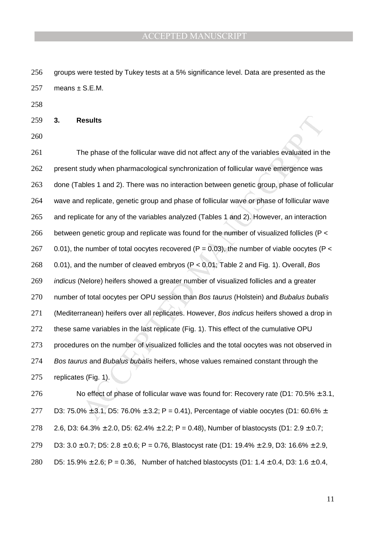256 groups were tested by Tukey tests at a 5% significance level. Data are presented as the 257 means  $\pm$  S.E.M.

258

259 **3. Results**

260

**Idealits**<br>
The phase of the follicular wave did not affect any of the variables evaluated in the study when pharmacological synchronization of follicular wave emergence was<br>
ables 1 and 2). There was no interaction betwe 261 The phase of the follicular wave did not affect any of the variables evaluated in the 262 present study when pharmacological synchronization of follicular wave emergence was 263 done (Tables 1 and 2). There was no interaction between genetic group, phase of follicular 264 wave and replicate, genetic group and phase of follicular wave or phase of follicular wave 265 and replicate for any of the variables analyzed (Tables 1 and 2). However, an interaction 266 between genetic group and replicate was found for the number of visualized follicles ( $P <$ 267 0.01), the number of total oocytes recovered (P = 0.03), the number of viable oocytes (P < 268 0.01), and the number of cleaved embryos (P < 0.01; Table 2 and Fig. 1). Overall, Bos 269 *indicus* (Nelore) heifers showed a greater number of visualized follicles and a greater 270 number of total oocytes per OPU session than Bos taurus (Holstein) and Bubalus bubalis 271 (Mediterranean) heifers over all replicates. However, Bos indicus heifers showed a drop in 272 these same variables in the last replicate (Fig. 1). This effect of the cumulative OPU 273 procedures on the number of visualized follicles and the total oocytes was not observed in 274 Bos taurus and Bubalus bubalis heifers, whose values remained constant through the 275 replicates (Fig. 1).

276 No effect of phase of follicular wave was found for: Recovery rate (D1:  $70.5\% \pm 3.1$ , 277 D3: 75.0%  $\pm$  3.1, D5: 76.0%  $\pm$  3.2; P = 0.41), Percentage of viable oocytes (D1: 60.6%  $\pm$ 278 2.6, D3: 64.3%  $\pm$  2.0, D5: 62.4%  $\pm$  2.2; P = 0.48), Number of blastocysts (D1: 2.9  $\pm$  0.7; 279 D3:  $3.0 \pm 0.7$ ; D5:  $2.8 \pm 0.6$ ; P = 0.76, Blastocyst rate (D1: 19.4%  $\pm$  2.9, D3: 16.6%  $\pm$  2.9, 280 D5: 15.9%  $\pm$  2.6; P = 0.36, Number of hatched blastocysts (D1: 1.4  $\pm$  0.4, D3: 1.6  $\pm$  0.4,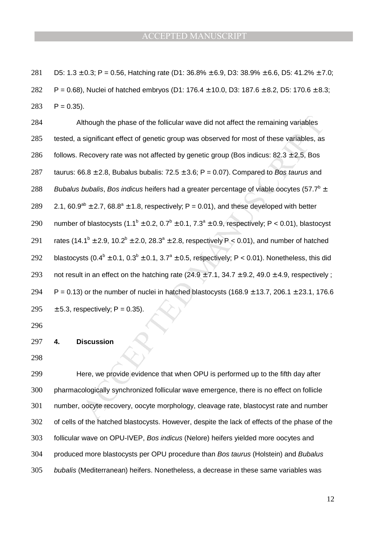281 D5:  $1.3 \pm 0.3$ ; P = 0.56, Hatching rate (D1:  $36.8\% \pm 6.9$ , D3:  $38.9\% \pm 6.6$ , D5:  $41.2\% \pm 7.0$ ; 282 P = 0.68), Nuclei of hatched embryos (D1: 176.4  $\pm$  10.0, D3: 187.6  $\pm$  8.2, D5: 170.6  $\pm$  8.3;  $283$  P = 0.35).

Il though the phase of the follicular wave did not affect the remaining variables<br>significant effect of genetic group was observed for most of these variables, as<br>Recovery rate was not affected by genetic group (Bos indic 284 Although the phase of the follicular wave did not affect the remaining variables 285 tested, a significant effect of genetic group was observed for most of these variables, as 286 follows. Recovery rate was not affected by genetic group (Bos indicus:  $82.3 \pm 2.5$ , Bos 287 taurus:  $66.8 \pm 2.8$ , Bubalus bubalis:  $72.5 \pm 3.6$ ; P = 0.07). Compared to Bos taurus and 288 Bubalus bubalis, Bos indicus heifers had a greater percentage of viable oocytes (57.7<sup>b</sup>  $\pm$ 289 2.1, 60.9<sup>ab</sup>  $\pm$  2.7, 68.8<sup>a</sup>  $\pm$  1.8, respectively; P = 0.01), and these developed with better 290 number of blastocysts  $(1.1^b \pm 0.2, 0.7^b \pm 0.1, 7.3^a \pm 0.9,$  respectively; P < 0.01), blastocyst 291 rates (14.1<sup>b</sup> ± 2.9, 10.2<sup>b</sup> ± 2.0, 28.3<sup>a</sup> ± 2.8, respectively P < 0.01), and number of hatched 292 blastocysts  $(0.4^b \pm 0.1, 0.3^b \pm 0.1, 3.7^a \pm 0.5,$  respectively; P < 0.01). Nonetheless, this did 293 not result in an effect on the hatching rate  $(24.9 \pm 7.1, 34.7 \pm 9.2, 49.0 \pm 4.9,$  respectively; 294 P = 0.13) or the number of nuclei in hatched blastocysts (168.9  $\pm$  13.7, 206.1  $\pm$  23.1, 176.6 295  $\pm$  5.3, respectively; P = 0.35).

296

#### 297 **4. Discussion**

298

Here, we provide evidence that when OPU is performed up to the fifth day after pharmacologically synchronized follicular wave emergence, there is no effect on follicle number, oocyte recovery, oocyte morphology, cleavage rate, blastocyst rate and number of cells of the hatched blastocysts. However, despite the lack of effects of the phase of the follicular wave on OPU-IVEP, Bos indicus (Nelore) heifers yielded more oocytes and 304 produced more blastocysts per OPU procedure than Bos taurus (Holstein) and Bubalus bubalis (Mediterranean) heifers. Nonetheless, a decrease in these same variables was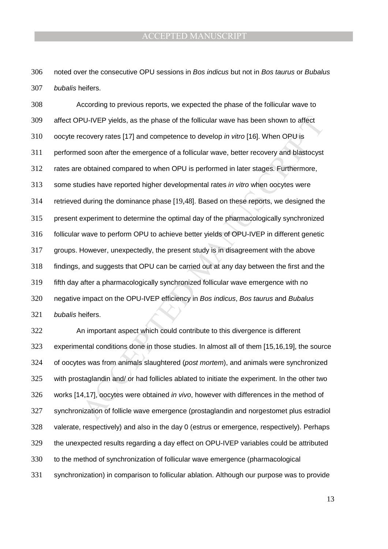noted over the consecutive OPU sessions in Bos indicus but not in Bos taurus or Bubalus bubalis heifers.

PU-IVEP yields, as the phase of the follicular wave has been shown to affect<br>ecovery rates [17] and competence to develop *in vitro* [16]. When OPU is<br>ed soon after the emergence of a follicular wave, better recovery and b According to previous reports, we expected the phase of the follicular wave to affect OPU-IVEP yields, as the phase of the follicular wave has been shown to affect oocyte recovery rates [17] and competence to develop in vitro [16]. When OPU is performed soon after the emergence of a follicular wave, better recovery and blastocyst rates are obtained compared to when OPU is performed in later stages. Furthermore, some studies have reported higher developmental rates in vitro when oocytes were retrieved during the dominance phase [19,48]. Based on these reports, we designed the present experiment to determine the optimal day of the pharmacologically synchronized follicular wave to perform OPU to achieve better yields of OPU-IVEP in different genetic groups. However, unexpectedly, the present study is in disagreement with the above findings, and suggests that OPU can be carried out at any day between the first and the fifth day after a pharmacologically synchronized follicular wave emergence with no 320 negative impact on the OPU-IVEP efficiency in Bos indicus, Bos taurus and Bubalus bubalis heifers.

An important aspect which could contribute to this divergence is different experimental conditions done in those studies. In almost all of them [15,16,19], the source 324 of oocytes was from animals slaughtered (post mortem), and animals were synchronized with prostaglandin and/ or had follicles ablated to initiate the experiment. In the other two works [14,17], oocytes were obtained in vivo, however with differences in the method of synchronization of follicle wave emergence (prostaglandin and norgestomet plus estradiol valerate, respectively) and also in the day 0 (estrus or emergence, respectively). Perhaps the unexpected results regarding a day effect on OPU-IVEP variables could be attributed to the method of synchronization of follicular wave emergence (pharmacological synchronization) in comparison to follicular ablation. Although our purpose was to provide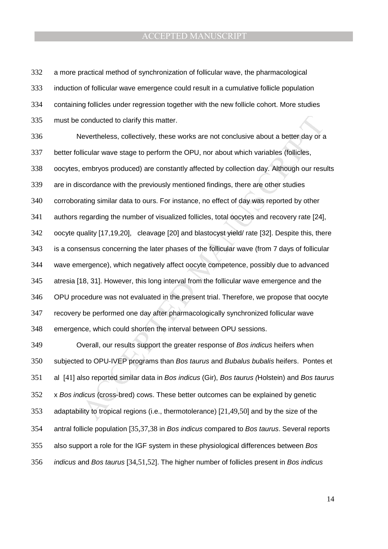a more practical method of synchronization of follicular wave, the pharmacological induction of follicular wave emergence could result in a cumulative follicle population containing follicles under regression together with the new follicle cohort. More studies must be conducted to clarify this matter. Nevertheless, collectively, these works are not conclusive about a better day or a

conducted to clarify this matter.<br>
Elevertheless, collectively, these works are not conclusive about a better day or a<br>
Elicular wave stage to perform the OPU, nor about which variables (follicles,<br>
embryos produced) are c better follicular wave stage to perform the OPU, nor about which variables (follicles, oocytes, embryos produced) are constantly affected by collection day. Although our results are in discordance with the previously mentioned findings, there are other studies corroborating similar data to ours. For instance, no effect of day was reported by other authors regarding the number of visualized follicles, total oocytes and recovery rate [24], oocyte quality [17,19,20], cleavage [20] and blastocyst yield/ rate [32]. Despite this, there is a consensus concerning the later phases of the follicular wave (from 7 days of follicular wave emergence), which negatively affect oocyte competence, possibly due to advanced atresia [18, 31]. However, this long interval from the follicular wave emergence and the OPU procedure was not evaluated in the present trial. Therefore, we propose that oocyte recovery be performed one day after pharmacologically synchronized follicular wave emergence, which could shorten the interval between OPU sessions.

Overall, our results support the greater response of Bos indicus heifers when subjected to OPU-IVEP programs than Bos taurus and Bubalus bubalis heifers. Pontes et al [41] also reported similar data in Bos indicus (Gir), Bos taurus (Holstein) and Bos taurus x Bos indicus (cross-bred) cows. These better outcomes can be explained by genetic adaptability to tropical regions (i.e., thermotolerance) [21,49,50] and by the size of the antral follicle population [35,37,38 in Bos indicus compared to Bos taurus. Several reports also support a role for the IGF system in these physiological differences between Bos *indicus* and *Bos taurus* [34,51,52]. The higher number of follicles present in *Bos indicus*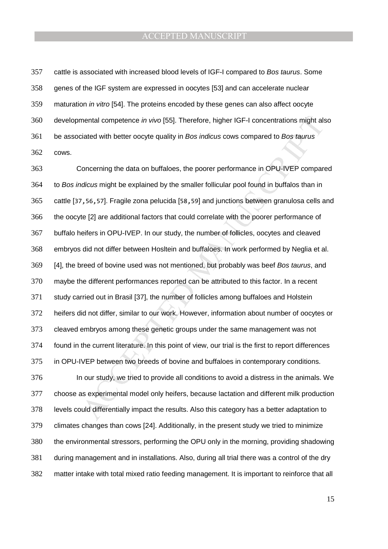cattle is associated with increased blood levels of IGF-I compared to Bos taurus. Some genes of the IGF system are expressed in oocytes [53] and can accelerate nuclear maturation in vitro [54]. The proteins encoded by these genes can also affect oocyte developmental competence in vivo [55]. Therefore, higher IGF-I concentrations might also 361 be associated with better oocyte quality in Bos indicus cows compared to Bos taurus cows.

mental competence *in vivo* [55]. Therefore, higher IGF-I concentrations might alsiated with better oocyte quality in *Bos indicus* cows compared to *Bos taurus* concerning the data on buffaloes, the poorer performance in Concerning the data on buffaloes, the poorer performance in OPU-IVEP compared 364 to Bos indicus might be explained by the smaller follicular pool found in buffalos than in cattle [37,56,57]. Fragile zona pelucida [58,59] and junctions between granulosa cells and the oocyte [2] are additional factors that could correlate with the poorer performance of buffalo heifers in OPU-IVEP. In our study, the number of follicles, oocytes and cleaved embryos did not differ between Hosltein and buffaloes. In work performed by Neglia et al. 369 [4], the breed of bovine used was not mentioned, but probably was beef Bos taurus, and maybe the different performances reported can be attributed to this factor. In a recent study carried out in Brasil [37], the number of follicles among buffaloes and Holstein heifers did not differ, similar to our work. However, information about number of oocytes or cleaved embryos among these genetic groups under the same management was not found in the current literature. In this point of view, our trial is the first to report differences in OPU-IVEP between two breeds of bovine and buffaloes in contemporary conditions. In our study, we tried to provide all conditions to avoid a distress in the animals. We choose as experimental model only heifers, because lactation and different milk production levels could differentially impact the results. Also this category has a better adaptation to climates changes than cows [24]. Additionally, in the present study we tried to minimize the environmental stressors, performing the OPU only in the morning, providing shadowing during management and in installations. Also, during all trial there was a control of the dry matter intake with total mixed ratio feeding management. It is important to reinforce that all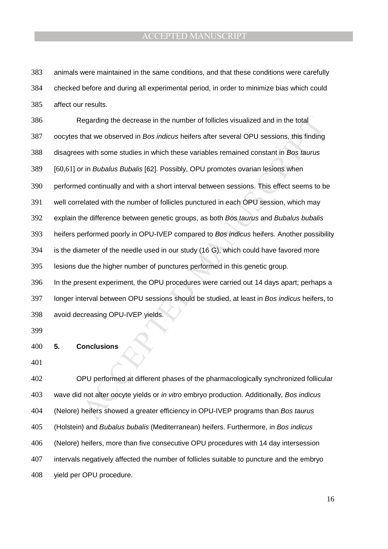animals were maintained in the same conditions, and that these conditions were carefully checked before and during all experimental period, in order to minimize bias which could affect our results.

tegarding the decrease in the number of follicles visualized and in the total<br>that we observed in *Bos indicus* heiters after several OPU sessions, this finding<br>s with some studies in which these variables remained constan Regarding the decrease in the number of follicles visualized and in the total oocytes that we observed in Bos indicus heifers after several OPU sessions, this finding disagrees with some studies in which these variables remained constant in Bos taurus [60,61] or in Bubalus Bubalis [62]. Possibly, OPU promotes ovarian lesions when performed continually and with a short interval between sessions. This effect seems to be well correlated with the number of follicles punctured in each OPU session, which may 392 explain the difference between genetic groups, as both Bos taurus and Bubalus bubalis 393 heifers performed poorly in OPU-IVEP compared to Bos indicus heifers. Another possibility is the diameter of the needle used in our study (16 G), which could have favored more lesions due the higher number of punctures performed in this genetic group. In the present experiment, the OPU procedures were carried out 14 days apart; perhaps a 397 longer interval between OPU sessions should be studied, at least in Bos indicus heifers, to avoid decreasing OPU-IVEP yields.

#### **5. Conclusions**

OPU performed at different phases of the pharmacologically synchronized follicular 403 wave did not alter oocyte yields or *in vitro* embryo production. Additionally, Bos indicus (Nelore) heifers showed a greater efficiency in OPU-IVEP programs than Bos taurus 405 (Holstein) and Bubalus bubalis (Mediterranean) heifers. Furthermore, in Bos indicus (Nelore) heifers, more than five consecutive OPU procedures with 14 day intersession intervals negatively affected the number of follicles suitable to puncture and the embryo yield per OPU procedure.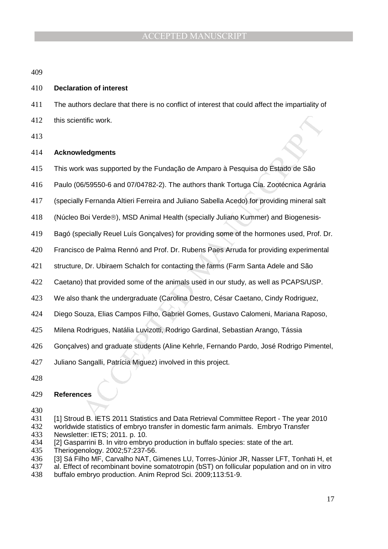#### **Declaration of interest**

The authors declare that there is no conflict of interest that could affect the impartiality of this scientific work.

#### **Acknowledgments**

- This work was supported by the Fundação de Amparo à Pesquisa do Estado de São
- ritic work.<br>
Idedyments<br>
K was supported by the Fundação de Amparo à Pesquisa do Estado de São<br>
6/59550-6 and 07/04782-2). The authors thank Tortuga Cia. Zootécnica Agrária<br>
y Fernanda Altieri Ferreira and Juliano Sabella Paulo (06/59550-6 and 07/04782-2). The authors thank Tortuga Cia. Zootécnica Agrária
- (specially Fernanda Altieri Ferreira and Juliano Sabella Acedo) for providing mineral salt
- 418 (Núcleo Boi Verde®), MSD Animal Health (specially Juliano Kummer) and Biogenesis-
- Bagó (specially Reuel Luís Gonçalves) for providing some of the hormones used, Prof. Dr.
- Francisco de Palma Rennó and Prof. Dr. Rubens Paes Arruda for providing experimental
- structure, Dr. Ubiraem Schalch for contacting the farms (Farm Santa Adele and São
- Caetano) that provided some of the animals used in our study, as well as PCAPS/USP.
- We also thank the undergraduate (Carolina Destro, César Caetano, Cindy Rodriguez,
- Diego Souza, Elias Campos Filho, Gabriel Gomes, Gustavo Calomeni, Mariana Raposo,
- Milena Rodrigues, Natália Luvizotti, Rodrigo Gardinal, Sebastian Arango, Tássia
- Gonçalves) and graduate students (Aline Kehrle, Fernando Pardo, José Rodrigo Pimentel,
- Juliano Sangalli, Patrícia Miguez) involved in this project.
- 

### **References**

- 
- [1] Stroud B. IETS 2011 Statistics and Data Retrieval Committee Report The year 2010
- worldwide statistics of embryo transfer in domestic farm animals. Embryo Transfer Newsletter: IETS; 2011. p. 10.
- [2] Gasparrini B. In vitro embryo production in buffalo species: state of the art.
- Theriogenology. 2002;57:237-56.
- [3] Sá Filho MF, Carvalho NAT, Gimenes LU, Torres-Júnior JR, Nasser LFT, Tonhati H, et
- 437 al. Effect of recombinant bovine somatotropin (bST) on follicular population and on in vitro<br>438 buffalo embryo production. Anim Reprod Sci. 2009:113:51-9.
- buffalo embryo production. Anim Reprod Sci. 2009;113:51-9.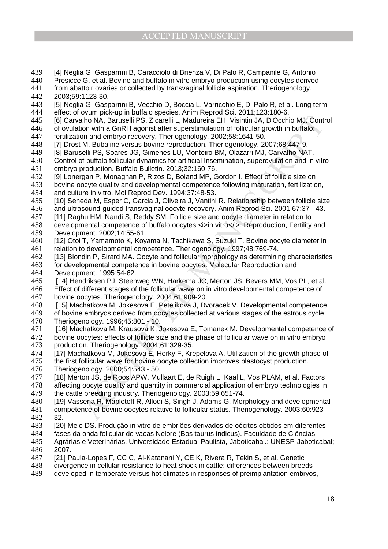- 439 [4] Neglia G, Gasparrini B, Caracciolo di Brienza V, Di Palo R, Campanile G, Antonio
- 440 Presicce G, et al. Bovine and buffalo in vitro embryo production using oocytes derived
- 441 from abattoir ovaries or collected by transvaginal follicle aspiration. Theriogenology.<br>442 2003:59:1123-30. 442 2003;59:1123-30.
- 443 [5] Neglia G, Gasparrini B, Vecchio D, Boccia L, Varricchio E, Di Palo R, et al. Long term<br>444 effect of ovum pick-up in buffalo species. Anim Reprod Sci. 2011:123:180-6.
- effect of ovum pick-up in buffalo species. Anim Reprod Sci. 2011;123:180-6.<br>445 **Fig. Carvalho NA. Baruselli PS. Zicarelli L. Madureira EH. Visintin JA. D'Occhi**
- 445 [6] Carvalho NA, Baruselli PS, Zicarelli L, Madureira EH, Visintin JA, D'Occhio MJ. Control
- 446 of ovulation with a GnRH agonist after superstimulation of follicular growth in buffalo:<br>447 fertilization and embryo recovery. Theriogenology. 2002:58:1641-50. fertilization and embryo recovery. Theriogenology. 2002;58:1641-50.
- 448 [7] Drost M. Bubaline versus bovine reproduction. Theriogenology. 2007;68:447-9.
- 449 [8] Baruselli PS, Soares JG, Gimenes LU, Monteiro BM, Olazarri MJ, Carvalho NAT.
- 450 Control of buffalo follicular dynamics for artificial Insemination, superovulation and in vitro
- 451 embryo production. Buffalo Bulletin. 2013;32:160-76. [9] Lonergan P, Monaghan P, Rizos D, Boland MP, Gordon I. Effect of follicle size on
- 453 bovine oocyte quality and developmental competence following maturation, fertilization,<br>454 and culture in vitro, Mol Reprod Dev, 1994:37:48-53.
- and culture in vitro. Mol Reprod Dev. 1994;37:48-53.
- 455 [10] Seneda M, Esper C, Garcia J, Oliveira J, Vantini R. Relationship between follicle size 456 and ultrasound-guided transvaginal oocyte recovery. Anim Reprod Sci. 2001;67:37 - 43.
- 457 [11] Raghu HM, Nandi S, Reddy SM. Follicle size and oocyte diameter in relation to
- 458 developmental competence of buffalo oocytes <i>in vitro</i>. Reproduction, Fertility and<br>459 Development, 2002:14:55-61. Development. 2002:14:55-61.
- 460 [12] Otoi T, Yamamoto K, Koyama N, Tachikawa S, Suzuki T. Bovine oocyte diameter in 461 relation to developmental competence. Theriogenology. 1997;48:769-74.
- 462 [13] Blondin P, Sirard MA. Oocyte and follicular morphology as determining characteristics
- 463 for developmental competence in bovine oocytes. Molecular Reproduction and 464 Development. 1995:54-62.
- 465 [14] Hendriksen PJ, Steenweg WN, Harkema JC, Merton JS, Bevers MM, Vos PL, et al.
- 466 Effect of different stages of the follicular wave on in vitro developmental competence of 467 bovine oocytes. Theriogenology. 2004;61:909-20.
- 468 [15] Machatkova M, Jokesova E, Petelikova J, Dvoracek V. Developmental competence 469 of bovine embryos derived from oocytes collected at various stages of the estrous cycle.<br>470 Theriogenology, 1996:45:801 - 10.
- Theriogenology. 1996;45:801 10.
- show With Gontzelle D. Ziczaelli L., Madureira EH, Visintin JA, D'Occhio MJ, Contino<br>non with GMRH agonst affer superstimutation of follicular growth in buffalo<br>in on with a GMRH agonst affer superstimution of follicular g 471 [16] Machatkova M, Krausova K, Jokesova E, Tomanek M. Developmental competence of 472 bovine oocytes: effects of follicle size and the phase of follicular wave on in vitro embryo<br>473 production. Theriogenology. 2004:61:329-35. production. Theriogenology. 2004;61:329-35.
- 474 [17] Machatkova M, Jokesova E, Horky F, Krepelova A. Utilization of the growth phase of 475 the first follicular wave for bovine oocyte collection improves blastocyst production.
- the first follicular wave for bovine oocyte collection improves blastocyst production.
- 476 Theriogenology. 2000;54:543 50.
- 477 [18] Merton JS, de Roos APW, Mullaart E, de Ruigh L, Kaal L, Vos PLAM, et al. Factors 478 affecting oocyte quality and quantity in commercial application of embryo technologies in
- 479 the cattle breeding industry. Theriogenology. 2003;59:651-74.
- 480 [19] Vassena R, Mapletoft R, Allodi S, Singh J, Adams G. Morphology and developmental
- 481 competence of bovine oocytes relative to follicular status. Theriogenology. 2003;60:923 -
- 482 32.<br>483 [20] [20] Melo DS. Produção in vitro de embriões derivados de oócitos obtidos em diferentes
- 
- 484 fases da onda folicular de vacas Nelore (Bos taurus indicus). Faculdade de Ciências<br>485 Agrárias e Veterinárias. Universidade Estadual Paulista. Jaboticabal.: UNESP-Jaboti Agrárias e Veterinárias, Universidade Estadual Paulista, Jaboticabal.: UNESP-Jaboticabal; 486 2007.
- 487 [21] Paula-Lopes F, CC C, Al-Katanani Y, CE K, Rivera R, Tekin S, et al. Genetic
- 488 divergence in cellular resistance to heat shock in cattle: differences between breeds
- 489 developed in temperate versus hot climates in responses of preimplantation embryos,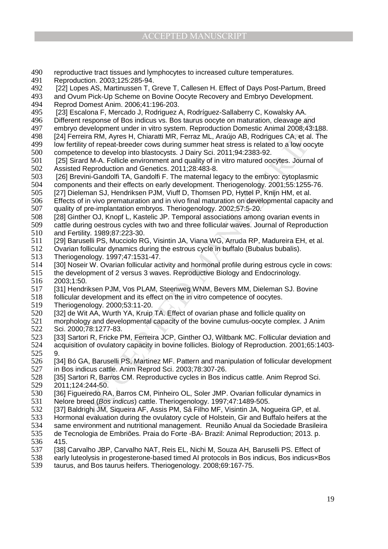- 490 reproductive tract tissues and lymphocytes to increased culture temperatures.<br>491 Reproduction, 2003:125:285-94.
- 491 Reproduction. 2003;125:285-94.
- 492 [22] Lopes AS, Martinussen T, Greve T, Callesen H. Effect of Days Post-Partum, Breed<br>493 and Ovum Pick-Up Scheme on Bovine Oocyte Recovery and Embryo Development.
- and Ovum Pick-Up Scheme on Bovine Oocyte Recovery and Embryo Development.
- 494 Reprod Domest Anim. 2006;41:196-203.
- 495 [23] Escalona F, Mercado J, Rodriguez A, Rodríguez-Sallaberry C, Kowalsky AA.<br>496 Different response of Bos indicus vs. Bos taurus oocyte on maturation, cleavage a Different response of Bos indicus vs. Bos taurus oocyte on maturation, cleavage and
- 497 embryo development under in vitro system. Reproduction Domestic Animal 2008;43:188.<br>498 [24] Ferreira RM, Ayres H, Chiaratti MR, Ferraz ML, Araújo AB, Rodrigues CA, et al. The
- [24] Ferreira RM, Ayres H, Chiaratti MR, Ferraz ML, Araújo AB, Rodrigues CA, et al. The
- 499 low fertility of repeat-breeder cows during summer heat stress is related to a low oocyte 500 competence to develop into blastocysts. J Dairy Sci. 2011;94:2383-92.
- 501 [25] Sirard M-A. Follicle environment and quality of in vitro matured oocytes. Journal of
- 502 Assisted Reproduction and Genetics. 2011;28:483-8.<br>503 [26] Brevini-Gandolfi TA, Gandolfi F. The maternal le [26] Brevini-Gandolfi TA, Gandolfi F. The maternal legacy to the embryo: cytoplasmic
- 504 components and their effects on early development. Theriogenology. 2001;55:1255-76.<br>505 [27] Dieleman SJ. Hendriksen PJM. Viuff D. Thomsen PD. Hyttel P. Kniin HM. et al.
- [27] Dieleman SJ, Hendriksen PJM, Viuff D, Thomsen PD, Hyttel P, Knijn HM, et al.
- 506 Effects of in vivo prematuration and in vivo final maturation on developmental capacity and 507 quality of pre-implantation embryos. Theriogenology. 2002;57:5-20.
- 508 [28] Ginther OJ, Knopf L, Kastelic JP. Temporal associations among ovarian events in
- 509 cattle during oestrous cycles with two and three follicular waves. Journal of Reproduction<br>510 and Fertility. 1989:87:223-30. and Fertility. 1989:87:223-30.
- 511 [29] Baruselli PS, Mucciolo RG, Visintin JA, Viana WG, Arruda RP, Madureira EH, et al.
- 512 Ovarian follicular dynamics during the estrous cycle in buffalo (Bubalus bubalis).
- 513 Theriogenology. 1997;47:1531-47.
- 514 [30] Noseir W. Ovarian follicular activity and hormonal profile during estrous cycle in cows:
- 515 the development of 2 versus 3 waves. Reproductive Biology and Endocrinology.
- 516 2003;1:50.<br>517 [31] Hendri
- [31] Hendriksen PJM, Vos PLAM, Steenweg WNM, Bevers MM, Dieleman SJ. Bovine
- 518 follicular development and its effect on the in vitro competence of oocytes.<br>519 Theriogenology. 2000:53:11-20.
- 519 Theriogenology. 2000;53:11-20.
- 520 [32] de Wit AA, Wurth YA, Kruip TA. Effect of ovarian phase and follicle quality on<br>521 morphology and developmental capacity of the bovine cumulus-oocyte complex. J
- morphology and developmental capacity of the bovine cumulus-oocyte complex. J Anim 522 Sci. 2000;78:1277-83.
- response of Bos indicus w.s. Bos tauws occete on maturation, cleavage and<br>testelopment under in wtro system. Reproduction Domestic Arian 2008-43:188<br>eira RM, Ayres H, Chiaratti MR, Ferraz ML, Araújo AB, Rodrigues CA, et al 523 [33] Sartori R, Fricke PM, Ferreira JCP, Ginther OJ, Wiltbank MC. Follicular deviation and 524 acquisition of ovulatory capacity in bovine follicles. Biology of Reproduction. 2001;65:1403-
- 525 9.<br>526 [3 526 [34] Bó GA, Baruselli PS, Martinez MF. Pattern and manipulation of follicular development 527 in Bos indicus cattle. Anim Reprod Sci. 2003;78:307-26.
- 528 [35] Sartori R, Barros CM. Reproductive cycles in Bos indicus cattle. Anim Reprod Sci.<br>529 2011:124:244-50. 529 2011;124:244-50.
- 530 [36] Figueiredo RA, Barros CM, Pinheiro OL, Soler JMP. Ovarian follicular dynamics in 531 Nelore breed (Bos indicus) cattle. Theriogenology. 1997;47:1489-505.
- 532 [37] Baldrighi JM, Siqueira AF, Assis PM, Sá Filho MF, Visintin JA, Nogueira GP, et al.<br>533 Hormonal evaluation during the ovulatory cycle of Holstein. Gir and Buffalo heifers at th
- 533 Hormonal evaluation during the ovulatory cycle of Holstein, Gir and Buffalo heifers at the<br>534 Same environment and nutritional management. Reunião Anual da Sociedade Brasileira
- same environment and nutritional management. Reunião Anual da Sociedade Brasileira
- 535 de Tecnologia de Embriões. Praia do Forte -BA- Brazil: Animal Reproduction; 2013. p. 415.
- 537 [38] Carvalho JBP, Carvalho NAT, Reis EL, Nichi M, Souza AH, Baruselli PS. Effect of
- 538 early luteolysis in progesterone-based timed AI protocols in Bos indicus, Bos indicus×Bos
- 539 taurus, and Bos taurus heifers. Theriogenology. 2008;69:167-75.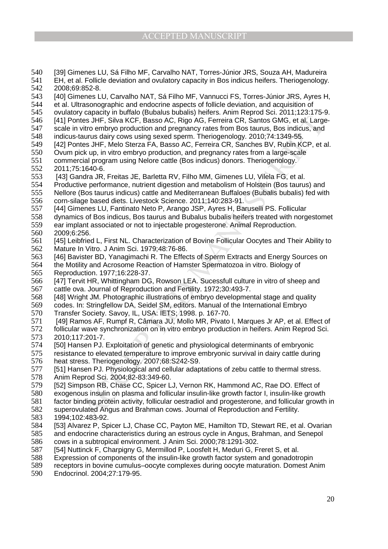- 540 [39] Gimenes LU, Sá Filho MF, Carvalho NAT, Torres-Júnior JRS, Souza AH, Madureira<br>541 EH, et al. Follicle deviation and ovulatory capacity in Bos indicus heifers. Theriogenology
- 541 EH, et al. Follicle deviation and ovulatory capacity in Bos indicus heifers. Theriogenology.
- 542 2008;69:852-8.<br>543 [40] Gimenes L [40] Gimenes LU, Carvalho NAT, Sá Filho MF, Vannucci FS, Torres-Júnior JRS, Ayres H,
- 
- 544 et al. Ultrasonographic and endocrine aspects of follicle deviation, and acquisition of 545 ovulatory capacity in buffalo (Bubalus bubalis) heifers. Anim Reprod Sci. 2011;123:1
- 545 ovulatory capacity in buffalo (Bubalus bubalis) heifers. Anim Reprod Sci. 2011;123:175-9.<br>546 [41] Pontes JHF, Silva KCF, Basso AC, Rigo AG, Ferreira CR, Santos GMG, et al. Large-1411 Pontes JHF, Silva KCF, Basso AC, Rigo AG, Ferreira CR, Santos GMG, et al. Large-
- 547 scale in vitro embryo production and pregnancy rates from Bos taurus, Bos indicus, and<br>548 indicus-taurus dairy cows using sexed sperm. Theriogenology. 2010:74:1349-55.
- indicus-taurus dairy cows using sexed sperm. Theriogenology. 2010;74:1349-55.
- 549 [42] Pontes JHF, Melo Sterza FA, Basso AC, Ferreira CR, Sanches BV, Rubin KCP, et al.
- 550 Ovum pick up, in vitro embryo production, and pregnancy rates from a large-scale
- 551 commercial program using Nelore cattle (Bos indicus) donors. Theriogenology.
- 552 2011;75:1640-6.<br>553 [43] Gandra JR. [43] Gandra JR, Freitas JE, Barletta RV, Filho MM, Gimenes LU, Vilela FG, et al.
- 554 Productive performance, nutrient digestion and metabolism of Holstein (Bos taurus) and<br>555 Nellore (Bos taurus indicus) cattle and Mediterranean Buffaloes (Bubalis bubalis) fed witl
- Nellore (Bos taurus indicus) cattle and Mediterranean Buffaloes (Bubalis bubalis) fed with
- 556 corn-silage based diets. Livestock Science. 2011;140:283-91.
- 557 [44] Gimenes LU, Fantinato Neto P, Arango JSP, Ayres H, Baruselli PS. Follicular
- 558 dynamics of Bos indicus, Bos taurus and Bubalus bubalis heifers treated with norgestomet 559 ear implant associated or not to injectable progesterone. Animal Reproduction.<br>560 2009:6:256.
- 2009:6:256.
- 561 [45] Leibfried L, First NL. Characterization of Bovine Follicular Oocytes and Their Ability to 562 Mature In Vitro. J Anim Sci. 1979;48:76-86.
- 563 [46] Bavister BD, Yanagimachi R. The Effects of Sperm Extracts and Energy Sources on
- 564 the Motility and Acrosome Reaction of Hamster Spermatozoa in vitro. Biology of 565 Reproduction. 1977;16:228-37.
- 566 [47] Tervit HR, Whittingham DG, Rowson LEA. Sucessfull culture in vitro of sheep and 567 cattle ova. Journal of Reproduction and Fertility. 1972;30:493-7.
- 568 [48] Wright JM. Photographic illustrations of embryo developmental stage and quality
- 569 codes. In: Stringfellow DA, Seidel SM, editors. Manual of the International Embryo
- ies JHF, Silva KCF, Basso AC, Rigo AG, Ferreira GR, Santos GMG, et al. Large<br>thes JHF, Silva KCF, Basso AC, Rigo AG, Ferreira GR, Santos GMG, et al. Large<br>thes JHF, Silva KCF, Basso AC, Rigo AG, Ferreira GR, Santos Bota (1 570 Transfer Society. Savoy, IL, USA: IETS; 1998. p. 167-70.<br>571 [49] Ramos AF, Rumpf R, Câmara JU, Mollo MR, Pivato 571 [49] Ramos AF, Rumpf R, Câmara JU, Mollo MR, Pivato I, Marques Jr AP, et al. Effect of 572 follicular wave synchronization on in vitro embryo production in heifers. Anim Reprod Sci. 573 2010;117:201-7.
- 574 [50] Hansen PJ. Exploitation of genetic and physiological determinants of embryonic
- 575 resistance to elevated temperature to improve embryonic survival in dairy cattle during<br>576 heat stress. Theriogenology. 2007:68:S242-S9. heat stress. Theriogenology. 2007;68:S242-S9.
- 577 [51] Hansen PJ. Physiological and cellular adaptations of zebu cattle to thermal stress.
- 578 Anim Reprod Sci. 2004;82-83:349-60.<br>579 [52] Simpson RB, Chase CC, Spicer L
- [52] Simpson RB, Chase CC, Spicer LJ, Vernon RK, Hammond AC, Rae DO. Effect of
- 580 exogenous insulin on plasma and follicular insulin-like growth factor I, insulin-like growth
- 581 factor binding protein activity, follicular oestradiol and progesterone, and follicular growth in
- 582 superovulated Angus and Brahman cows. Journal of Reproduction and Fertility.<br>583 1994:102:483-92.
- 583 1994;102:483-92.<br>584 [53] Alvarez P. Sp [53] Alvarez P, Spicer LJ, Chase CC, Payton ME, Hamilton TD, Stewart RE, et al. Ovarian
- 585 and endocrine characteristics during an estrous cycle in Angus, Brahman, and Senepol<br>586 cows in a subtropical environment. J Anim Sci. 2000:78:1291-302.
- cows in a subtropical environment. J Anim Sci. 2000;78:1291-302.
- 587 [54] Nuttinck F, Charpigny G, Mermillod P, Loosfelt H, Meduri G, Freret S, et al.
- 588 Expression of components of the insulin-like growth factor system and gonadotropin
- 589 receptors in bovine cumulus–oocyte complexes during oocyte maturation. Domest Anim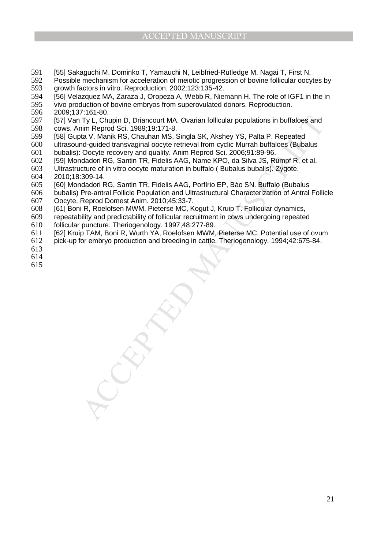- [55] Sakaguchi M, Dominko T, Yamauchi N, Leibfried-Rutledge M, Nagai T, First N.
- 592 Possible mechanism for acceleration of meiotic progression of bovine follicular oocytes by<br>593 growth factors in vitro. Reproduction. 2002:123:135-42. 593 growth factors in vitro. Reproduction. 2002;123:135-42.<br>594 [56] Velazquez MA. Zaraza J. Oropeza A. Webb R. Nier
- [56] Velazquez MA, Zaraza J, Oropeza A, Webb R, Niemann H. The role of IGF1 in the in
- 595 vivo production of bovine embryos from superovulated donors. Reproduction.<br>596 2009:137:161-80.

596 2009;137:161-80.<br>597 571 Van Tv L. Chu

- Ty L, Chupin D, Driancourt MA. Ovarian follicular populations in buffaloes and<br>him Reprod Sci. 1989;19:171-8.<br>MANUSCRIP ACCEPTED AND SIGNAL ARE PRESENTED AND MINUSCRIPTED ON MANUSCRIPTED AND A Drive occupe recovery and qua [57] Van Ty L, Chupin D, Driancourt MA. Ovarian follicular populations in buffaloes and cows. Anim Reprod Sci. 1989;19:171-8.
- [58] Gupta V, Manik RS, Chauhan MS, Singla SK, Akshey YS, Palta P. Repeated
- ultrasound-guided transvaginal oocyte retrieval from cyclic Murrah buffaloes (Bubalus bubalis): Oocyte recovery and quality. Anim Reprod Sci. 2006;91:89-96.
- [59] Mondadori RG, Santin TR, Fidelis AAG, Name KPO, da Silva JS, Rumpf R, et al.
- Ultrastructure of in vitro oocyte maturation in buffalo ( Bubalus bubalis). Zygote. 2010;18:309-14.
- [60] Mondadori RG, Santin TR, Fidelis AAG, Porfírio EP, Báo SN. Buffalo (Bubalus
- bubalis) Pre-antral Follicle Population and Ultrastructural Characterization of Antral Follicle
- Oocyte. Reprod Domest Anim. 2010;45:33-7.
- [61] Boni R, Roelofsen MWM, Pieterse MC, Kogut J, Kruip T. Follicular dynamics,
- repeatability and predictability of follicular recruitment in cows undergoing repeated
- follicular puncture. Theriogenology. 1997;48:277-89.
- [62] Kruip TAM, Boni R, Wurth YA, Roelofsen MWM, Pieterse MC. Potential use of ovum
- pick-up for embryo production and breeding in cattle. Theriogenology. 1994;42:675-84.
- 
- 
-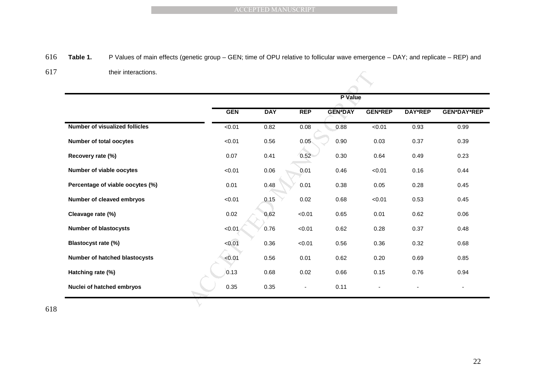## 616 **Table 1.** P Values of main effects (genetic group – GEN; time of OPU relative to follicular wave emergence – DAY; and replicate – REP) and

617 their interactions.

| Table 1.                              | P Values of main effects (genetic group - GEN; time of OPU relative to follicular wave emergence - DAY; and replicate - REP) and |            |            |            |                |                |                |                    |  |  |  |  |
|---------------------------------------|----------------------------------------------------------------------------------------------------------------------------------|------------|------------|------------|----------------|----------------|----------------|--------------------|--|--|--|--|
| their interactions.                   |                                                                                                                                  |            |            |            |                |                |                |                    |  |  |  |  |
|                                       |                                                                                                                                  | P Value    |            |            |                |                |                |                    |  |  |  |  |
|                                       |                                                                                                                                  | <b>GEN</b> | <b>DAY</b> | <b>REP</b> | <b>GEN*DAY</b> | <b>GEN*REP</b> | <b>DAY*REP</b> | <b>GEN*DAY*REP</b> |  |  |  |  |
| <b>Number of visualized follicles</b> |                                                                                                                                  | 50.01      | 0.82       | 0.08       | 0.88           | 50.01          | 0.93           | 0.99               |  |  |  |  |
| Number of total oocytes               |                                                                                                                                  | < 0.01     | 0.56       | 0.05       | 0.90           | 0.03           | 0.37           | 0.39               |  |  |  |  |
| Recovery rate (%)                     |                                                                                                                                  | 0.07       | 0.41       | 0.52       | 0.30           | 0.64           | 0.49           | 0.23               |  |  |  |  |
| Number of viable oocytes              |                                                                                                                                  | < 0.01     | 0.06       | 0.01       | 0.46           | < 0.01         | 0.16           | 0.44               |  |  |  |  |
| Percentage of viable oocytes (%)      |                                                                                                                                  | 0.01       | 0.48       | 0.01       | 0.38           | 0.05           | 0.28           | 0.45               |  |  |  |  |
| Number of cleaved embryos             |                                                                                                                                  | < 0.01     | 0.15       | 0.02       | 0.68           | <0.01          | 0.53           | 0.45               |  |  |  |  |
| Cleavage rate (%)                     |                                                                                                                                  | 0.02       | 0.62       | < 0.01     | 0.65           | 0.01           | 0.62           | 0.06               |  |  |  |  |
| <b>Number of blastocysts</b>          |                                                                                                                                  | < 0.01     | 0.76       | < 0.01     | 0.62           | 0.28           | 0.37           | 0.48               |  |  |  |  |
| Blastocyst rate (%)                   |                                                                                                                                  | < 0.01     | 0.36       | < 0.01     | 0.56           | 0.36           | 0.32           | 0.68               |  |  |  |  |
| Number of hatched blastocysts         |                                                                                                                                  | < 0.01     | 0.56       | 0.01       | 0.62           | 0.20           | 0.69           | 0.85               |  |  |  |  |
| Hatching rate (%)                     |                                                                                                                                  | 0.13       | 0.68       | 0.02       | 0.66           | 0.15           | 0.76           | 0.94               |  |  |  |  |
|                                       |                                                                                                                                  | 0.35       |            |            | 0.11           |                |                |                    |  |  |  |  |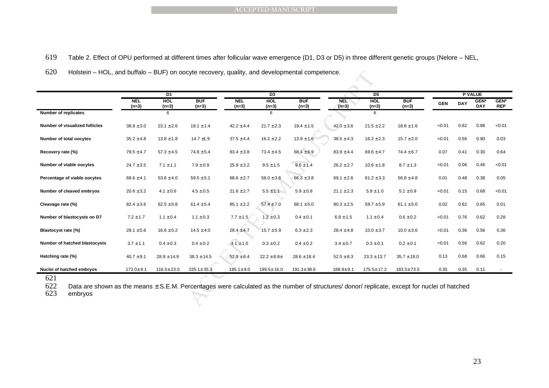- 619 Table 2. Effect of OPU performed at different times after follicular wave emergence (D1, D3 or D5) in three different genetic groups (Nelore NEL,
- 620 Holstein HOL, and buffalo BUF) on oocyte recovery, quality, and developmental competence.

| <b>BUF</b><br><b>BUF</b><br><b>NEL</b><br><b>HOL</b><br><b>BUF</b><br><b>NEL</b><br>HOL<br><b>HOL</b><br><b>NEL</b><br><b>GEN*</b><br><b>DAY</b><br><b>GEN</b><br><b>DAY</b><br>$(n=3)$<br>$(n=3)$<br>$(n=3)$<br>$(n=3)$<br>$(n=3)$<br>$(n=3)$<br>$(n=3)$<br>$(n=3)$<br>$(n=3)$<br><b>Number of replicates</b><br>6<br>6<br>6<br>$19.4 \pm 1.5$<br>$21.5 \pm 2.2$<br>$18.8 \pm 1.6$<br>0.82<br>0.88<br><b>Number of visualized follicles</b><br>$38.8 \pm 3.0$<br>$23.1 \pm 2.6$<br>$18.1 \pm 1.4$<br>$42.2 \pm 4.4$<br>$21.7 \pm 2.3$<br>$42.0 \pm 3.6$<br>< 0.01<br>0.56<br>0.90<br>Number of total oocytes<br>$13.8 \pm 1.8$<br>14.7 $\pm$ 1.9<br>$16.2 \pm 2.2$<br>$13.9 \pm 1.6$<br>$38.5 \pm 4.3$<br>$16.2 \pm 2.3$<br>$15.7 \pm 2.0$<br>< 0.01<br>$35.2 \pm 4.8$<br>$37.5 \pm 4.4$<br>$79.5 \pm 4.7$<br>$57.3 \pm 4.5$<br>$83.4 \pm 3.8$<br>$68.4 \pm 6.9$<br>$83.9 \pm 4.4$<br>$74.4 \pm 6.7$<br>0.07<br>0.30<br>$74.8 \pm 5.4$<br>$73.4 \pm 4.5$<br>$69.6 \pm 4.7$<br>0.41<br>$24.7 \pm 3.5$<br>$9.6 \pm 1.4$<br>$26.2 \pm 2.7$<br>$8.7 \pm 1.3$<br>< 0.01<br>0.06<br>0.46<br>$7.1 \pm 1.1$<br>$7.9 \pm 0.9$<br>$25.9 \pm 3.2$<br>$9.5 \pm 1.5$<br>$10.6 \pm 1.8$<br>$66.3 \pm 3.8$<br>$69.1 \pm 2.6$<br>0.48<br>0.38<br>Percentage of viable oocytes<br>$68.6 \pm 4.1$<br>$53.8 \pm 4.0$<br>$59.5 \pm 5.1$<br>$68.6 \pm 2.7$<br>$58.0 \pm 3.6$<br>$61.2 \pm 3.3$<br>$56.8 \pm 4.8$<br>0.01<br>< 0.01<br>0.15<br>0.68<br>$20.6 \pm 3.2$<br>$4.5 \pm 0.5$<br>$21.6 \pm 2.7$<br>$5.5 \pm 1.1$<br>$5.9 \pm 0.8$<br>$21.1 \pm 2.3$<br>$5.9 \pm 1.0$<br>$5.1 \pm 0.9$<br>$4.1 \pm 0.6$<br>0.02<br>0.62<br>0.65<br>Cleavage rate (%)<br>$57.4 \pm 7.0$<br>$82.4 \pm 3.6$<br>$62.5 \pm 5.8$<br>$61.4 \pm 5.4$<br>$85.1 \pm 2.2$<br>68.1 $\pm$ 5.0<br>$80.3 \pm 2.5$<br>$59.7 \pm 5.9$<br>$61.1 \pm 5.0$<br>0.62<br>$7.2 \pm 1.7$<br>$1.1 \pm 0.4$<br>$1.1 \pm 0.3$<br>$7.7 \pm 1.5$<br>$1.2 \pm 0.3$<br>$0.4 \pm 0.1$<br>$6.9 \pm 1.5$<br>$1.1 \pm 0.4$<br>$0.6 \pm 0.2$<br>< 0.01<br>0.76<br>Number of blastocysts on D7<br>0.36<br>0.56<br>Blastocyst rate (%)<br>< 0.01<br>$28.1 \pm 5.6$<br>$16.6 \pm 5.2$<br>$14.5 \pm 4.0$<br>$28.4 \pm 4.7$<br>$15.7 \pm 5.9$<br>$6.3 \pm 2.3$<br>$28.4 \pm 4.8$<br>$10.0 \pm 3.7$<br>$10.0 \pm 3.6$<br>$4.1 \pm 1.0$<br>0.56<br>0.62<br>Number of hatched blastocysts<br>$3.7 \pm 1.1$<br>$0.4 \pm 0.2$<br>$0.3 \pm 0.2$<br>$0.4 \pm 0.2$<br>$3.4 \pm 0.7$<br>$0.3 \pm 0.1$<br>$0.2 \pm 0.1$<br>< 0.01<br>$0.4 \pm 0.3$<br>0.66<br>0.13<br>0.68<br>Hatching rate (%)<br>$40.7 \pm 9.1$<br>$28.9 \pm 14.9$<br>$38.3 \pm 14.5$<br>$52.9 \pm 8.4$<br>$22.2 \pm 8.8 \pm$<br>$28.6 \pm 18.4$<br>$52.5 \pm 8.3$<br>$23.3 \pm 13.7$<br>$35.7 \pm 18.0$<br>0.11<br>Nuclei of hatched embryos<br>$116.5 \pm 23.0$<br>$225.1 \pm 35.3$<br>0.35<br>0.35<br>$173.0 \pm 9.1$<br>$185.1 \pm 9.0$<br>199.5±16.0<br>$191.3 \pm 38.6$<br>$168.9 \pm 9.1$<br>175.5±17.2<br>183.5±73.5 |                           | D <sub>1</sub> |  | $\overline{D3}$ |  | D <sub>5</sub> |  | <b>P VALUE</b> |                           |
|---------------------------------------------------------------------------------------------------------------------------------------------------------------------------------------------------------------------------------------------------------------------------------------------------------------------------------------------------------------------------------------------------------------------------------------------------------------------------------------------------------------------------------------------------------------------------------------------------------------------------------------------------------------------------------------------------------------------------------------------------------------------------------------------------------------------------------------------------------------------------------------------------------------------------------------------------------------------------------------------------------------------------------------------------------------------------------------------------------------------------------------------------------------------------------------------------------------------------------------------------------------------------------------------------------------------------------------------------------------------------------------------------------------------------------------------------------------------------------------------------------------------------------------------------------------------------------------------------------------------------------------------------------------------------------------------------------------------------------------------------------------------------------------------------------------------------------------------------------------------------------------------------------------------------------------------------------------------------------------------------------------------------------------------------------------------------------------------------------------------------------------------------------------------------------------------------------------------------------------------------------------------------------------------------------------------------------------------------------------------------------------------------------------------------------------------------------------------------------------------------------------------------------------------------------------------------------------------------------------------------------------------------------------------------------------------------------------------------------------------------------------------------------------------------------------------------------------------------------------------------------------------------------------|---------------------------|----------------|--|-----------------|--|----------------|--|----------------|---------------------------|
|                                                                                                                                                                                                                                                                                                                                                                                                                                                                                                                                                                                                                                                                                                                                                                                                                                                                                                                                                                                                                                                                                                                                                                                                                                                                                                                                                                                                                                                                                                                                                                                                                                                                                                                                                                                                                                                                                                                                                                                                                                                                                                                                                                                                                                                                                                                                                                                                                                                                                                                                                                                                                                                                                                                                                                                                                                                                                                               |                           |                |  |                 |  |                |  |                | <b>GEN*</b><br><b>REP</b> |
| < 0.01                                                                                                                                                                                                                                                                                                                                                                                                                                                                                                                                                                                                                                                                                                                                                                                                                                                                                                                                                                                                                                                                                                                                                                                                                                                                                                                                                                                                                                                                                                                                                                                                                                                                                                                                                                                                                                                                                                                                                                                                                                                                                                                                                                                                                                                                                                                                                                                                                                                                                                                                                                                                                                                                                                                                                                                                                                                                                                        |                           |                |  |                 |  |                |  |                |                           |
| 0.03<br>0.01                                                                                                                                                                                                                                                                                                                                                                                                                                                                                                                                                                                                                                                                                                                                                                                                                                                                                                                                                                                                                                                                                                                                                                                                                                                                                                                                                                                                                                                                                                                                                                                                                                                                                                                                                                                                                                                                                                                                                                                                                                                                                                                                                                                                                                                                                                                                                                                                                                                                                                                                                                                                                                                                                                                                                                                                                                                                                                  |                           |                |  |                 |  |                |  |                |                           |
| 0.64                                                                                                                                                                                                                                                                                                                                                                                                                                                                                                                                                                                                                                                                                                                                                                                                                                                                                                                                                                                                                                                                                                                                                                                                                                                                                                                                                                                                                                                                                                                                                                                                                                                                                                                                                                                                                                                                                                                                                                                                                                                                                                                                                                                                                                                                                                                                                                                                                                                                                                                                                                                                                                                                                                                                                                                                                                                                                                          |                           |                |  |                 |  |                |  |                |                           |
| < 0.01<br>0.05<br>< 0.01<br>0.28<br>0.36<br>0.20<br>0.15                                                                                                                                                                                                                                                                                                                                                                                                                                                                                                                                                                                                                                                                                                                                                                                                                                                                                                                                                                                                                                                                                                                                                                                                                                                                                                                                                                                                                                                                                                                                                                                                                                                                                                                                                                                                                                                                                                                                                                                                                                                                                                                                                                                                                                                                                                                                                                                                                                                                                                                                                                                                                                                                                                                                                                                                                                                      | Recovery rate (%)         |                |  |                 |  |                |  |                |                           |
|                                                                                                                                                                                                                                                                                                                                                                                                                                                                                                                                                                                                                                                                                                                                                                                                                                                                                                                                                                                                                                                                                                                                                                                                                                                                                                                                                                                                                                                                                                                                                                                                                                                                                                                                                                                                                                                                                                                                                                                                                                                                                                                                                                                                                                                                                                                                                                                                                                                                                                                                                                                                                                                                                                                                                                                                                                                                                                               | Number of viable oocytes  |                |  |                 |  |                |  |                |                           |
|                                                                                                                                                                                                                                                                                                                                                                                                                                                                                                                                                                                                                                                                                                                                                                                                                                                                                                                                                                                                                                                                                                                                                                                                                                                                                                                                                                                                                                                                                                                                                                                                                                                                                                                                                                                                                                                                                                                                                                                                                                                                                                                                                                                                                                                                                                                                                                                                                                                                                                                                                                                                                                                                                                                                                                                                                                                                                                               |                           |                |  |                 |  |                |  |                |                           |
|                                                                                                                                                                                                                                                                                                                                                                                                                                                                                                                                                                                                                                                                                                                                                                                                                                                                                                                                                                                                                                                                                                                                                                                                                                                                                                                                                                                                                                                                                                                                                                                                                                                                                                                                                                                                                                                                                                                                                                                                                                                                                                                                                                                                                                                                                                                                                                                                                                                                                                                                                                                                                                                                                                                                                                                                                                                                                                               | Number of cleaved embryos |                |  |                 |  |                |  |                |                           |
|                                                                                                                                                                                                                                                                                                                                                                                                                                                                                                                                                                                                                                                                                                                                                                                                                                                                                                                                                                                                                                                                                                                                                                                                                                                                                                                                                                                                                                                                                                                                                                                                                                                                                                                                                                                                                                                                                                                                                                                                                                                                                                                                                                                                                                                                                                                                                                                                                                                                                                                                                                                                                                                                                                                                                                                                                                                                                                               |                           |                |  |                 |  |                |  |                |                           |
|                                                                                                                                                                                                                                                                                                                                                                                                                                                                                                                                                                                                                                                                                                                                                                                                                                                                                                                                                                                                                                                                                                                                                                                                                                                                                                                                                                                                                                                                                                                                                                                                                                                                                                                                                                                                                                                                                                                                                                                                                                                                                                                                                                                                                                                                                                                                                                                                                                                                                                                                                                                                                                                                                                                                                                                                                                                                                                               |                           |                |  |                 |  |                |  |                |                           |
|                                                                                                                                                                                                                                                                                                                                                                                                                                                                                                                                                                                                                                                                                                                                                                                                                                                                                                                                                                                                                                                                                                                                                                                                                                                                                                                                                                                                                                                                                                                                                                                                                                                                                                                                                                                                                                                                                                                                                                                                                                                                                                                                                                                                                                                                                                                                                                                                                                                                                                                                                                                                                                                                                                                                                                                                                                                                                                               |                           |                |  |                 |  |                |  |                |                           |
|                                                                                                                                                                                                                                                                                                                                                                                                                                                                                                                                                                                                                                                                                                                                                                                                                                                                                                                                                                                                                                                                                                                                                                                                                                                                                                                                                                                                                                                                                                                                                                                                                                                                                                                                                                                                                                                                                                                                                                                                                                                                                                                                                                                                                                                                                                                                                                                                                                                                                                                                                                                                                                                                                                                                                                                                                                                                                                               |                           |                |  |                 |  |                |  |                |                           |
|                                                                                                                                                                                                                                                                                                                                                                                                                                                                                                                                                                                                                                                                                                                                                                                                                                                                                                                                                                                                                                                                                                                                                                                                                                                                                                                                                                                                                                                                                                                                                                                                                                                                                                                                                                                                                                                                                                                                                                                                                                                                                                                                                                                                                                                                                                                                                                                                                                                                                                                                                                                                                                                                                                                                                                                                                                                                                                               |                           |                |  |                 |  |                |  |                |                           |
|                                                                                                                                                                                                                                                                                                                                                                                                                                                                                                                                                                                                                                                                                                                                                                                                                                                                                                                                                                                                                                                                                                                                                                                                                                                                                                                                                                                                                                                                                                                                                                                                                                                                                                                                                                                                                                                                                                                                                                                                                                                                                                                                                                                                                                                                                                                                                                                                                                                                                                                                                                                                                                                                                                                                                                                                                                                                                                               |                           |                |  |                 |  |                |  |                |                           |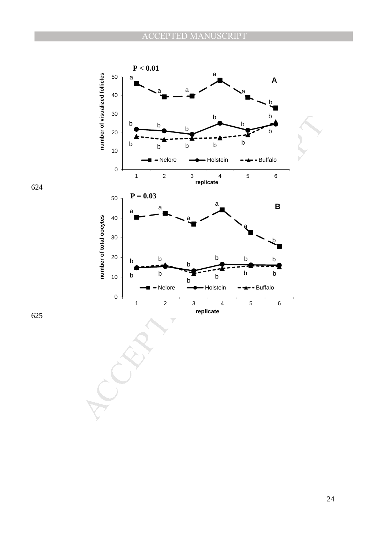

624